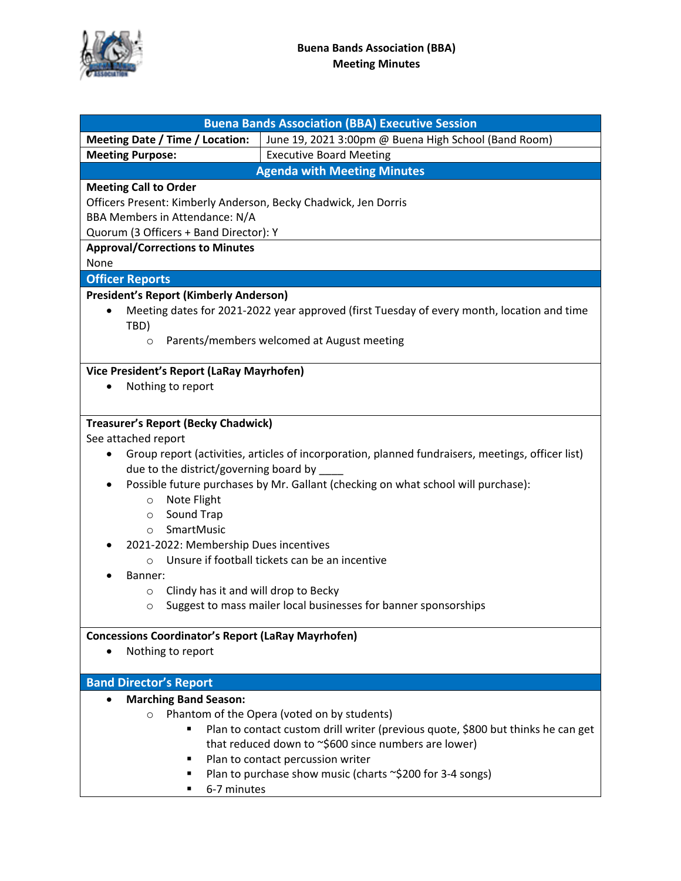

|                                                                 | <b>Buena Bands Association (BBA) Executive Session</b>                                            |  |  |  |  |  |
|-----------------------------------------------------------------|---------------------------------------------------------------------------------------------------|--|--|--|--|--|
| <b>Meeting Date / Time / Location:</b>                          | June 19, 2021 3:00pm @ Buena High School (Band Room)                                              |  |  |  |  |  |
| <b>Meeting Purpose:</b>                                         | <b>Executive Board Meeting</b>                                                                    |  |  |  |  |  |
| <b>Agenda with Meeting Minutes</b>                              |                                                                                                   |  |  |  |  |  |
| <b>Meeting Call to Order</b>                                    |                                                                                                   |  |  |  |  |  |
| Officers Present: Kimberly Anderson, Becky Chadwick, Jen Dorris |                                                                                                   |  |  |  |  |  |
| BBA Members in Attendance: N/A                                  |                                                                                                   |  |  |  |  |  |
| Quorum (3 Officers + Band Director): Y                          |                                                                                                   |  |  |  |  |  |
| <b>Approval/Corrections to Minutes</b>                          |                                                                                                   |  |  |  |  |  |
| None                                                            |                                                                                                   |  |  |  |  |  |
| <b>Officer Reports</b>                                          |                                                                                                   |  |  |  |  |  |
| <b>President's Report (Kimberly Anderson)</b>                   |                                                                                                   |  |  |  |  |  |
| $\bullet$                                                       | Meeting dates for 2021-2022 year approved (first Tuesday of every month, location and time        |  |  |  |  |  |
| TBD)                                                            |                                                                                                   |  |  |  |  |  |
| $\circ$                                                         | Parents/members welcomed at August meeting                                                        |  |  |  |  |  |
|                                                                 |                                                                                                   |  |  |  |  |  |
| Vice President's Report (LaRay Mayrhofen)                       |                                                                                                   |  |  |  |  |  |
| Nothing to report<br>٠                                          |                                                                                                   |  |  |  |  |  |
|                                                                 |                                                                                                   |  |  |  |  |  |
| <b>Treasurer's Report (Becky Chadwick)</b>                      |                                                                                                   |  |  |  |  |  |
| See attached report                                             |                                                                                                   |  |  |  |  |  |
| $\bullet$                                                       | Group report (activities, articles of incorporation, planned fundraisers, meetings, officer list) |  |  |  |  |  |
| due to the district/governing board by                          |                                                                                                   |  |  |  |  |  |
| $\bullet$                                                       | Possible future purchases by Mr. Gallant (checking on what school will purchase):                 |  |  |  |  |  |
| Note Flight                                                     |                                                                                                   |  |  |  |  |  |
| $\circ$<br>Sound Trap                                           |                                                                                                   |  |  |  |  |  |
| $\circ$<br>SmartMusic<br>$\circ$                                |                                                                                                   |  |  |  |  |  |
| 2021-2022: Membership Dues incentives                           |                                                                                                   |  |  |  |  |  |
| $\circ$                                                         | Unsure if football tickets can be an incentive                                                    |  |  |  |  |  |
| Banner:                                                         |                                                                                                   |  |  |  |  |  |
| Clindy has it and will drop to Becky<br>$\circ$                 |                                                                                                   |  |  |  |  |  |
|                                                                 | Suggest to mass mailer local businesses for banner sponsorships                                   |  |  |  |  |  |
|                                                                 |                                                                                                   |  |  |  |  |  |
| <b>Concessions Coordinator's Report (LaRay Mayrhofen)</b>       |                                                                                                   |  |  |  |  |  |
| Nothing to report                                               |                                                                                                   |  |  |  |  |  |
|                                                                 |                                                                                                   |  |  |  |  |  |
| <b>Band Director's Report</b>                                   |                                                                                                   |  |  |  |  |  |
| <b>Marching Band Season:</b><br>$\bullet$                       |                                                                                                   |  |  |  |  |  |
| Phantom of the Opera (voted on by students)<br>$\circ$          |                                                                                                   |  |  |  |  |  |
|                                                                 | Plan to contact custom drill writer (previous quote, \$800 but thinks he can get                  |  |  |  |  |  |
|                                                                 | that reduced down to ~\$600 since numbers are lower)                                              |  |  |  |  |  |
|                                                                 | Plan to contact percussion writer                                                                 |  |  |  |  |  |
|                                                                 | Plan to purchase show music (charts ~\$200 for 3-4 songs)                                         |  |  |  |  |  |
| 6-7 minutes                                                     |                                                                                                   |  |  |  |  |  |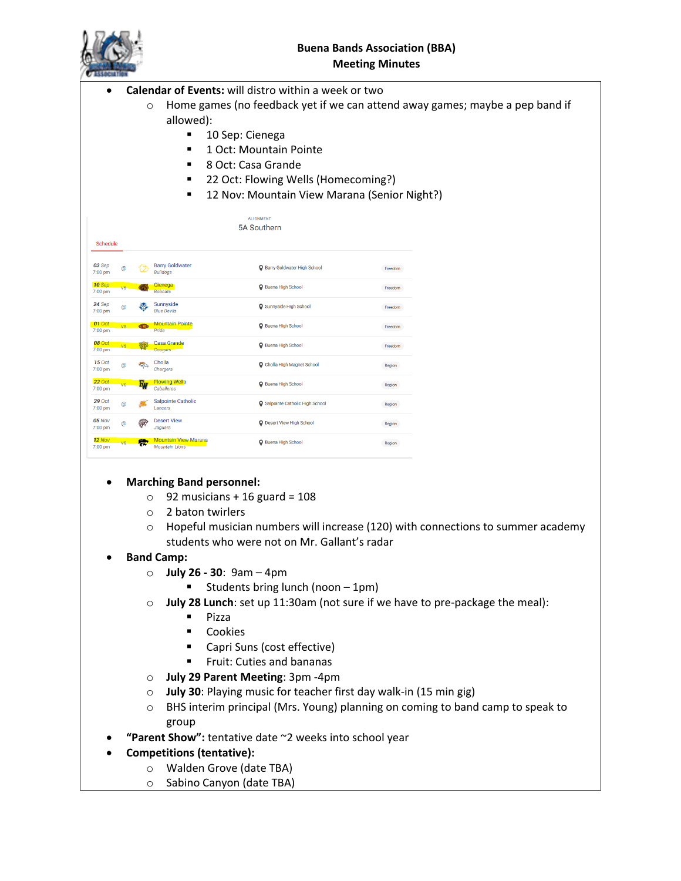|                          |                                                                                           |                    |                                                      |                                                                                                                                                     | <b>Buena Bands Association (BBA)</b> |                                                                                 |  |
|--------------------------|-------------------------------------------------------------------------------------------|--------------------|------------------------------------------------------|-----------------------------------------------------------------------------------------------------------------------------------------------------|--------------------------------------|---------------------------------------------------------------------------------|--|
| <b>Meeting Minutes</b>   |                                                                                           |                    |                                                      |                                                                                                                                                     |                                      |                                                                                 |  |
|                          |                                                                                           | $\circ$            | allowed):<br>г                                       | Calendar of Events: will distro within a week or two<br>10 Sep: Cienega<br>1 Oct: Mountain Pointe<br>8 Oct: Casa Grande                             |                                      | Home games (no feedback yet if we can attend away games; maybe a pep band if    |  |
|                          |                                                                                           |                    |                                                      | 22 Oct: Flowing Wells (Homecoming?)                                                                                                                 |                                      |                                                                                 |  |
|                          |                                                                                           |                    |                                                      | 12 Nov: Mountain View Marana (Senior Night?)                                                                                                        |                                      |                                                                                 |  |
|                          |                                                                                           |                    |                                                      | <b>ALIGNMENT</b>                                                                                                                                    |                                      |                                                                                 |  |
| Schedule                 |                                                                                           |                    |                                                      | 5A Southern                                                                                                                                         |                                      |                                                                                 |  |
| 03 Sep<br>7:00 pm        |                                                                                           |                    | <b>Barry Goldwater</b><br><b>Bulldogs</b>            | <b>Q</b> Barry Goldwater High School                                                                                                                | Freedom                              |                                                                                 |  |
| 10 Sep<br>7:00 pm        |                                                                                           |                    | Cienega<br><b>Bobcats</b>                            | Ruena High School                                                                                                                                   | Freedom                              |                                                                                 |  |
| 24 Sep<br>7:00 pm        |                                                                                           |                    | Sunnyside<br><b>Blue Devils</b>                      | <b>Q</b> Sunnyside High School                                                                                                                      | Freedom                              |                                                                                 |  |
| 01 Oct<br>7:00 pm        |                                                                                           |                    | <b>Mountain Pointe</b><br>Pride                      | <b>Q</b> Buena High School                                                                                                                          | Freedom                              |                                                                                 |  |
| 08 Oct<br>7:00 pm        |                                                                                           |                    | <b>Casa Grande</b><br>Cougars                        | Ruena High School                                                                                                                                   | Freedom                              |                                                                                 |  |
| <b>15 Oct</b><br>7:00 pm |                                                                                           |                    | Cholla<br>Chargers                                   | Cholla High Magnet School                                                                                                                           | Region                               |                                                                                 |  |
| 22 Oc<br>7:00 pm         |                                                                                           |                    | <b>Flowing Wells</b><br>Caballeros                   | Ruena High School                                                                                                                                   | Region                               |                                                                                 |  |
| 29 Oct<br>7:00 pm        |                                                                                           |                    | <b>Salpointe Catholic</b><br>Lancers                 | Salpointe Catholic High School                                                                                                                      | Region                               |                                                                                 |  |
| <b>05 Nov</b><br>7:00 pm | @)                                                                                        |                    | <b>Desert View</b><br><b>Jaguars</b>                 | <b>Q</b> Desert View High School                                                                                                                    | Region                               |                                                                                 |  |
| $12$ Nov<br>7:00 pm      |                                                                                           |                    | <b>Mountain View Marana</b><br><b>Mountain Lions</b> | Ruena High School                                                                                                                                   | Region                               |                                                                                 |  |
|                          |                                                                                           | $\circ$<br>$\circ$ | <b>Marching Band personnel:</b><br>2 baton twirlers  | 92 musicians + 16 guard = $108$<br>students who were not on Mr. Gallant's radar                                                                     |                                      | Hopeful musician numbers will increase (120) with connections to summer academy |  |
|                          |                                                                                           |                    | <b>Band Camp:</b>                                    |                                                                                                                                                     |                                      |                                                                                 |  |
|                          |                                                                                           |                    | $\circ$                                              | July 26 - 30: $9am - 4pm$<br>Students bring lunch (noon - 1pm)                                                                                      |                                      |                                                                                 |  |
|                          |                                                                                           | $\circ$            | Pizza<br>٠<br>٠<br>٠                                 | July 28 Lunch: set up 11:30am (not sure if we have to pre-package the meal):<br>Cookies<br>Capri Suns (cost effective)<br>Fruit: Cuties and bananas |                                      |                                                                                 |  |
|                          |                                                                                           | $\circ$            |                                                      | July 29 Parent Meeting: 3pm -4pm                                                                                                                    |                                      |                                                                                 |  |
|                          | July 30: Playing music for teacher first day walk-in (15 min gig)<br>$\circ$              |                    |                                                      |                                                                                                                                                     |                                      |                                                                                 |  |
|                          | BHS interim principal (Mrs. Young) planning on coming to band camp to speak to<br>$\circ$ |                    |                                                      |                                                                                                                                                     |                                      |                                                                                 |  |
|                          |                                                                                           |                    | group                                                |                                                                                                                                                     |                                      |                                                                                 |  |
|                          |                                                                                           |                    | <b>Competitions (tentative):</b>                     | "Parent Show": tentative date ~2 weeks into school year                                                                                             |                                      |                                                                                 |  |
|                          |                                                                                           | $\circ$            |                                                      | Walden Grove (date TBA)                                                                                                                             |                                      |                                                                                 |  |
|                          |                                                                                           | $\circ$            |                                                      | Sabino Canyon (date TBA)                                                                                                                            |                                      |                                                                                 |  |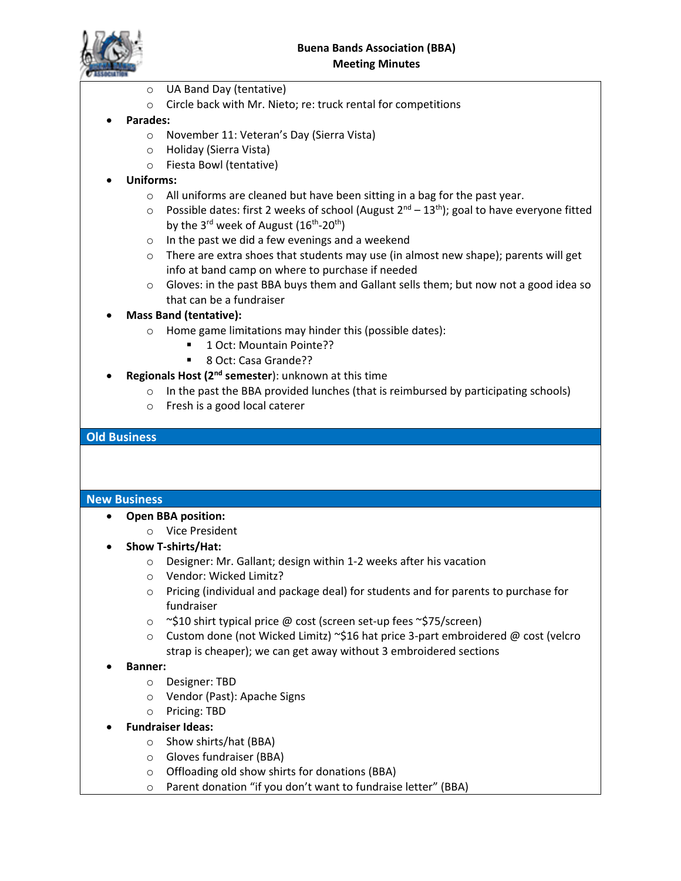

- o UA Band Day (tentative)
- o Circle back with Mr. Nieto; re: truck rental for competitions

#### • **Parades:**

- o November 11: Veteran's Day (Sierra Vista)
- o Holiday (Sierra Vista)
- o Fiesta Bowl (tentative)
- **Uniforms:**
	- o All uniforms are cleaned but have been sitting in a bag for the past year.
	- $\circ$  Possible dates: first 2 weeks of school (August  $2^{nd}$   $13^{th}$ ); goal to have everyone fitted by the 3<sup>rd</sup> week of August  $(16<sup>th</sup>-20<sup>th</sup>)$
	- o In the past we did a few evenings and a weekend
	- $\circ$  There are extra shoes that students may use (in almost new shape); parents will get info at band camp on where to purchase if needed
	- o Gloves: in the past BBA buys them and Gallant sells them; but now not a good idea so that can be a fundraiser

### • **Mass Band (tentative):**

- o Home game limitations may hinder this (possible dates):
	- 1 Oct: Mountain Pointe??
	- 8 Oct: Casa Grande??
- **Regionals Host (2nd semester**): unknown at this time
	- o In the past the BBA provided lunches (that is reimbursed by participating schools)
	- o Fresh is a good local caterer

### **Old Business**

#### **New Business**

- **Open BBA position:**
	- o Vice President
- **Show T-shirts/Hat:**
	- o Designer: Mr. Gallant; design within 1-2 weeks after his vacation
	- o Vendor: Wicked Limitz?
	- o Pricing (individual and package deal) for students and for parents to purchase for fundraiser
	- o ~\$10 shirt typical price @ cost (screen set-up fees ~\$75/screen)
	- o Custom done (not Wicked Limitz) ~\$16 hat price 3-part embroidered @ cost (velcro strap is cheaper); we can get away without 3 embroidered sections
- **Banner:**
	- o Designer: TBD
	- o Vendor (Past): Apache Signs
	- o Pricing: TBD
- **Fundraiser Ideas:**
	- o Show shirts/hat (BBA)
	- o Gloves fundraiser (BBA)
	- o Offloading old show shirts for donations (BBA)
	- o Parent donation "if you don't want to fundraise letter" (BBA)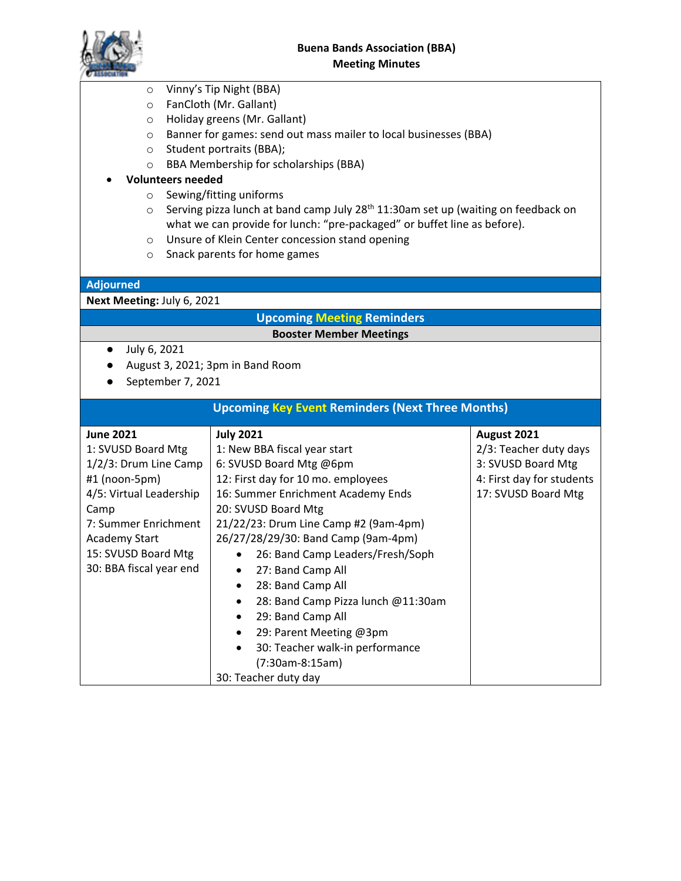- o Vinny's Tip Night (BBA)
- o FanCloth (Mr. Gallant)
- o Holiday greens (Mr. Gallant)
- o Banner for games: send out mass mailer to local businesses (BBA)
- o Student portraits (BBA);
- o BBA Membership for scholarships (BBA)

#### • **Volunteers needed**

- o Sewing/fitting uniforms
- $\circ$  Serving pizza lunch at band camp July 28<sup>th</sup> 11:30am set up (waiting on feedback on what we can provide for lunch: "pre-packaged" or buffet line as before).
- o Unsure of Klein Center concession stand opening
- o Snack parents for home games

#### **Adjourned**

#### **Next Meeting:** July 6, 2021

#### **Upcoming Meeting Reminders Booster Member Meetings**

- July 6, 2021
- August 3, 2021; 3pm in Band Room
- September 7, 2021

## **Upcoming Key Event Reminders (Next Three Months)**

| <b>June 2021</b>                             | <b>July 2021</b>                                | August 2021               |
|----------------------------------------------|-------------------------------------------------|---------------------------|
| 1: SVUSD Board Mtg                           | 1: New BBA fiscal year start                    | 2/3: Teacher duty days    |
| 1/2/3: Drum Line Camp                        | 6: SVUSD Board Mtg @6pm                         | 3: SVUSD Board Mtg        |
| $#1$ (noon-5pm)                              | 12: First day for 10 mo. employees              | 4: First day for students |
| 4/5: Virtual Leadership                      | 16: Summer Enrichment Academy Ends              | 17: SVUSD Board Mtg       |
| Camp                                         | 20: SVUSD Board Mtg                             |                           |
| 7: Summer Enrichment                         | 21/22/23: Drum Line Camp #2 (9am-4pm)           |                           |
| Academy Start                                | 26/27/28/29/30: Band Camp (9am-4pm)             |                           |
| 15: SVUSD Board Mtg                          | 26: Band Camp Leaders/Fresh/Soph                |                           |
| 30: BBA fiscal year end<br>27: Band Camp All |                                                 |                           |
|                                              | 28: Band Camp All<br>$\bullet$                  |                           |
|                                              | 28: Band Camp Pizza lunch @11:30am<br>$\bullet$ |                           |
|                                              | 29: Band Camp All                               |                           |
|                                              | 29: Parent Meeting @3pm<br>$\bullet$            |                           |
|                                              | 30: Teacher walk-in performance                 |                           |
|                                              | (7:30am-8:15am)                                 |                           |
|                                              | 30: Teacher duty day                            |                           |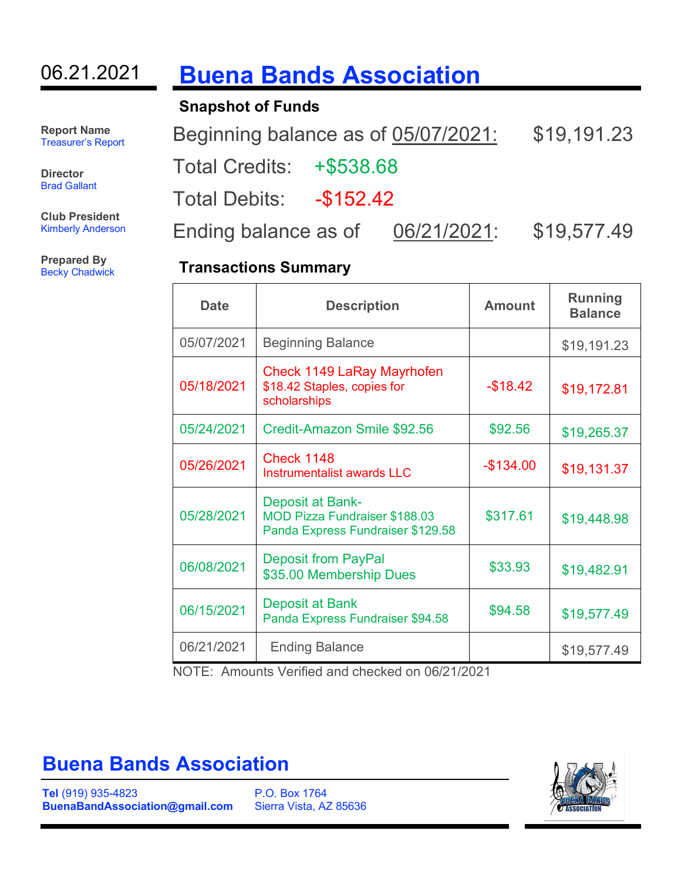# 06.21.2021 **Buena Bands Association**

**Snapshot of Funds**

**Report Name** Treasurer's Report

**Director** Brad Gallant

**Club President** Kimberly Anderson

**Prepared By** Becky Chadwick Beginning balance as of 05/07/2021: \$19,191.23

Total Credits: +\$538.68

Total Debits: -\$152.42

Ending balance as of 06/21/2021: \$19,577.49

## **Transactions Summary**

| <b>Date</b> | <b>Description</b>                                                                                   | <b>Amount</b> | <b>Running</b><br><b>Balance</b> |
|-------------|------------------------------------------------------------------------------------------------------|---------------|----------------------------------|
| 05/07/2021  | <b>Beginning Balance</b>                                                                             |               | \$19,191.23                      |
| 05/18/2021  | Check 1149 LaRay Mayrhofen<br>\$18.42 Staples, copies for<br>scholarships                            | $-$18.42$     | \$19,172.81                      |
| 05/24/2021  | Credit-Amazon Smile \$92.56                                                                          | \$92.56       | \$19,265.37                      |
| 05/26/2021  | <b>Check 1148</b><br>Instrumentalist awards LLC                                                      | $-$ \$134.00  | \$19,131.37                      |
| 05/28/2021  | <b>Deposit at Bank-</b><br><b>MOD Pizza Fundraiser \$188.03</b><br>Panda Express Fundraiser \$129.58 | \$317.61      | \$19,448.98                      |
| 06/08/2021  | <b>Deposit from PayPal</b><br>\$35.00 Membership Dues                                                | \$33.93       | \$19,482.91                      |
| 06/15/2021  | Deposit at Bank<br>Panda Express Fundraiser \$94.58                                                  | \$94.58       | \$19,577.49                      |
| 06/21/2021  | <b>Ending Balance</b>                                                                                |               | \$19,577.49                      |

NOTE: Amounts Verified and checked on 06/21/2021

# **Buena Bands Association**

**Tel** (919) 935-4823 **BuenaBandAssociation@gmail.com**

P.O. Box 1764 Sierra Vista, AZ 85636